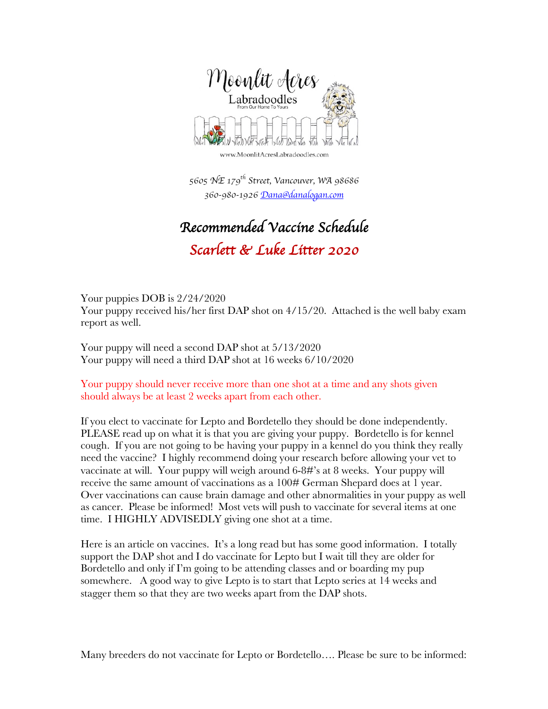

www.MoonlitAcresLabradoodles.com

 *5605 NE 179th Street, Vancouver, WA 98686 360-980-1926 Dana@danalogan.com*

## *Recommended Vaccine Schedule Scarlett & Luke Litter 2020*

Your puppies DOB is 2/24/2020 Your puppy received his/her first DAP shot on 4/15/20. Attached is the well baby exam report as well.

Your puppy will need a second DAP shot at 5/13/2020 Your puppy will need a third DAP shot at 16 weeks 6/10/2020

Your puppy should never receive more than one shot at a time and any shots given should always be at least 2 weeks apart from each other.

If you elect to vaccinate for Lepto and Bordetello they should be done independently. PLEASE read up on what it is that you are giving your puppy. Bordetello is for kennel cough. If you are not going to be having your puppy in a kennel do you think they really need the vaccine? I highly recommend doing your research before allowing your vet to vaccinate at will. Your puppy will weigh around 6-8#'s at 8 weeks. Your puppy will receive the same amount of vaccinations as a 100# German Shepard does at 1 year. Over vaccinations can cause brain damage and other abnormalities in your puppy as well as cancer. Please be informed! Most vets will push to vaccinate for several items at one time. I HIGHLY ADVISEDLY giving one shot at a time.

Here is an article on vaccines. It's a long read but has some good information. I totally support the DAP shot and I do vaccinate for Lepto but I wait till they are older for Bordetello and only if I'm going to be attending classes and or boarding my pup somewhere. A good way to give Lepto is to start that Lepto series at 14 weeks and stagger them so that they are two weeks apart from the DAP shots.

Many breeders do not vaccinate for Lepto or Bordetello…. Please be sure to be informed: